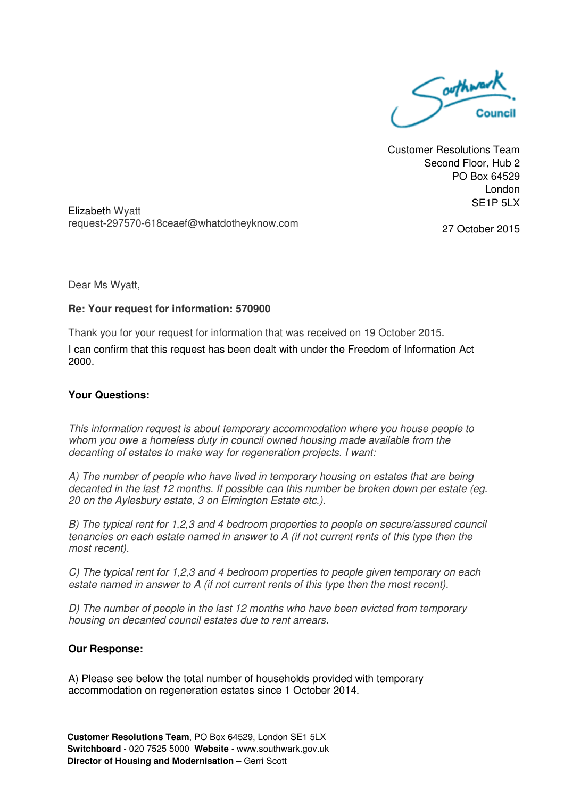

Customer Resolutions Team Second Floor, Hub 2 PO Box 64529 London SE1P 5LX

Elizabeth Wyatt request-297570-618ceaef@whatdotheyknow.com

27 October 2015

Dear Ms Wyatt,

## **Re: Your request for information: 570900**

Thank you for your request for information that was received on 19 October 2015.

I can confirm that this request has been dealt with under the Freedom of Information Act 2000.

## **Your Questions:**

This information request is about temporary accommodation where you house people to whom you owe a homeless duty in council owned housing made available from the decanting of estates to make way for regeneration projects. I want:

A) The number of people who have lived in temporary housing on estates that are being decanted in the last 12 months. If possible can this number be broken down per estate (eg. 20 on the Aylesbury estate, 3 on Elmington Estate etc.).

B) The typical rent for 1,2,3 and 4 bedroom properties to people on secure/assured council tenancies on each estate named in answer to A (if not current rents of this type then the most recent).

C) The typical rent for 1,2,3 and 4 bedroom properties to people given temporary on each estate named in answer to A (if not current rents of this type then the most recent).

D) The number of people in the last 12 months who have been evicted from temporary housing on decanted council estates due to rent arrears.

## **Our Response:**

A) Please see below the total number of households provided with temporary accommodation on regeneration estates since 1 October 2014.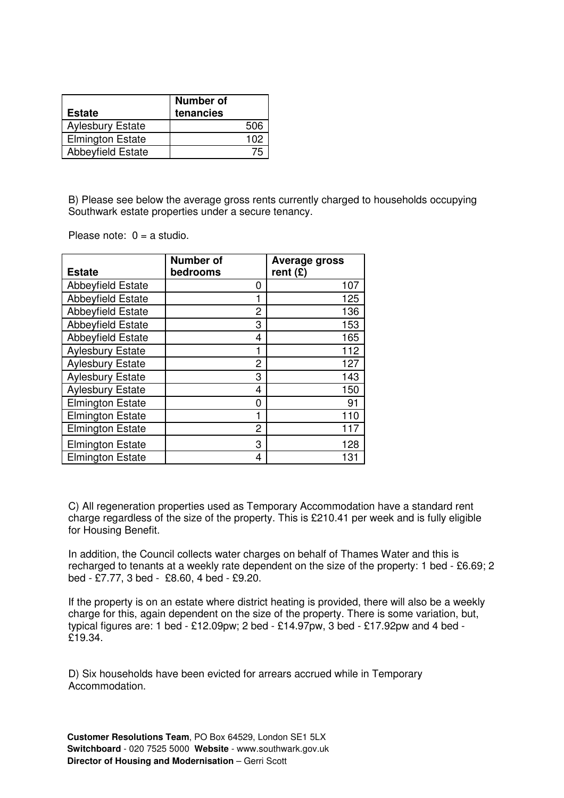| <b>Estate</b>            | <b>Number of</b><br>tenancies |
|--------------------------|-------------------------------|
| <b>Aylesbury Estate</b>  | 506                           |
| <b>Elmington Estate</b>  | 102                           |
| <b>Abbeyfield Estate</b> |                               |

B) Please see below the average gross rents currently charged to households occupying Southwark estate properties under a secure tenancy.

Please note:  $0 = a$  studio.

| <b>Estate</b>            | <b>Number of</b><br>bedrooms | <b>Average gross</b><br>rent $(E)$ |
|--------------------------|------------------------------|------------------------------------|
| <b>Abbeyfield Estate</b> | 0                            | 107                                |
| <b>Abbeyfield Estate</b> |                              | 125                                |
| <b>Abbeyfield Estate</b> | 2                            | 136                                |
| <b>Abbeyfield Estate</b> | 3                            | 153                                |
| <b>Abbeyfield Estate</b> | 4                            | 165                                |
| <b>Aylesbury Estate</b>  | 1                            | 112                                |
| <b>Aylesbury Estate</b>  | 2                            | 127                                |
| <b>Aylesbury Estate</b>  | 3                            | 143                                |
| <b>Aylesbury Estate</b>  | 4                            | 150                                |
| <b>Elmington Estate</b>  | 0                            | 91                                 |
| <b>Elmington Estate</b>  |                              | 110                                |
| <b>Elmington Estate</b>  | 2                            | 117                                |
| <b>Elmington Estate</b>  | 3                            | 128                                |
| <b>Elmington Estate</b>  | 4                            | 131                                |

C) All regeneration properties used as Temporary Accommodation have a standard rent charge regardless of the size of the property. This is £210.41 per week and is fully eligible for Housing Benefit.

In addition, the Council collects water charges on behalf of Thames Water and this is recharged to tenants at a weekly rate dependent on the size of the property: 1 bed - £6.69; 2 bed - £7.77, 3 bed - £8.60, 4 bed - £9.20.

If the property is on an estate where district heating is provided, there will also be a weekly charge for this, again dependent on the size of the property. There is some variation, but, typical figures are: 1 bed - £12.09pw; 2 bed - £14.97pw, 3 bed - £17.92pw and 4 bed - £19.34.

D) Six households have been evicted for arrears accrued while in Temporary Accommodation.

**Customer Resolutions Team**, PO Box 64529, London SE1 5LX **Switchboard** - 020 7525 5000 **Website** - www.southwark.gov.uk **Director of Housing and Modernisation - Gerri Scott**